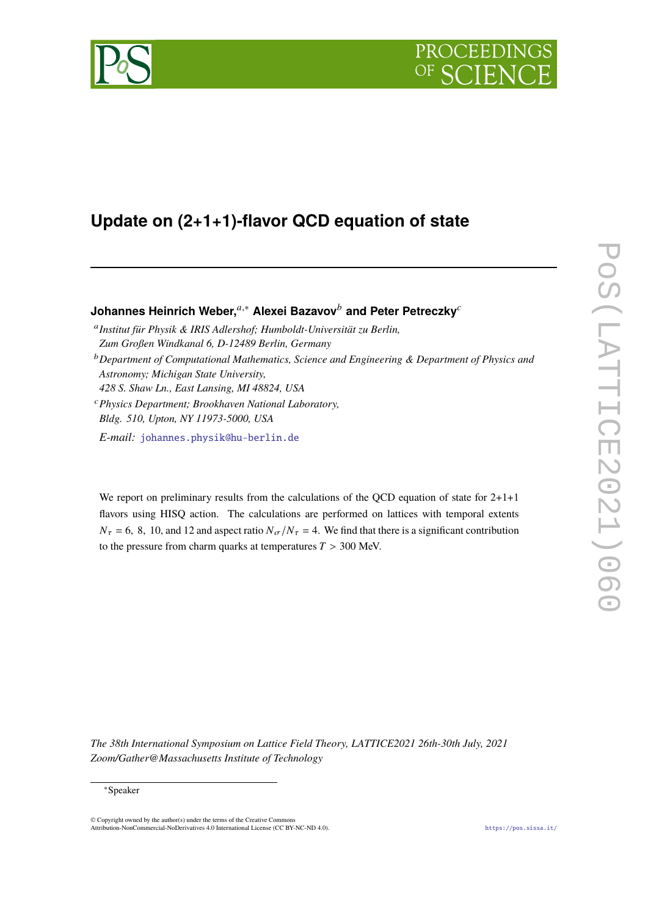

# **PROCEEDI**

# **Update on (2+1+1)-flavor QCD equation of state**

**Johannes Heinrich Weber, a,\* Alexei Bazavov<sup>b</sup> and Peter Petreczky<sup>c</sup>** 

- <sup>a</sup>Institut für Physik & IRIS Adlershof; Humboldt-Universität zu Berlin,
- *Zum Großen Windkanal 6, D-12489 Berlin, Germany*
- <sup>*b*</sup> Department of Computational Mathematics, Science and Engineering & Department of Physics and *Astronomy; Michigan State University, 428 S. Shaw Ln., East Lansing, MI 48824, USA*
- <sup>𝑐</sup>*Physics Department; Brookhaven National Laboratory, Bldg. 510, Upton, NY 11973-5000, USA*

*E-mail:* [johannes.physik@hu-berlin.de](mailto:johannes.physik@hu-berlin.de)

We report on preliminary results from the calculations of the QCD equation of state for  $2+1+1$ flavors using HISQ action. The calculations are performed on lattices with temporal extents  $N_{\tau} = 6$ , 8, 10, and 12 and aspect ratio  $N_{\tau}/N_{\tau} = 4$ . We find that there is a significant contribution to the pressure from charm quarks at temperatures  $T > 300$  MeV.

*The 38th International Symposium on Lattice Field Theory, LATTICE2021 26th-30th July, 2021 Zoom/Gather@Massachusetts Institute of Technology*

<sup>∗</sup>Speaker

 $\odot$  Copyright owned by the author(s) under the terms of the Creative Common Attribution-NonCommercial-NoDerivatives 4.0 International License (CC BY-NC-ND 4.0). <https://pos.sissa.it/>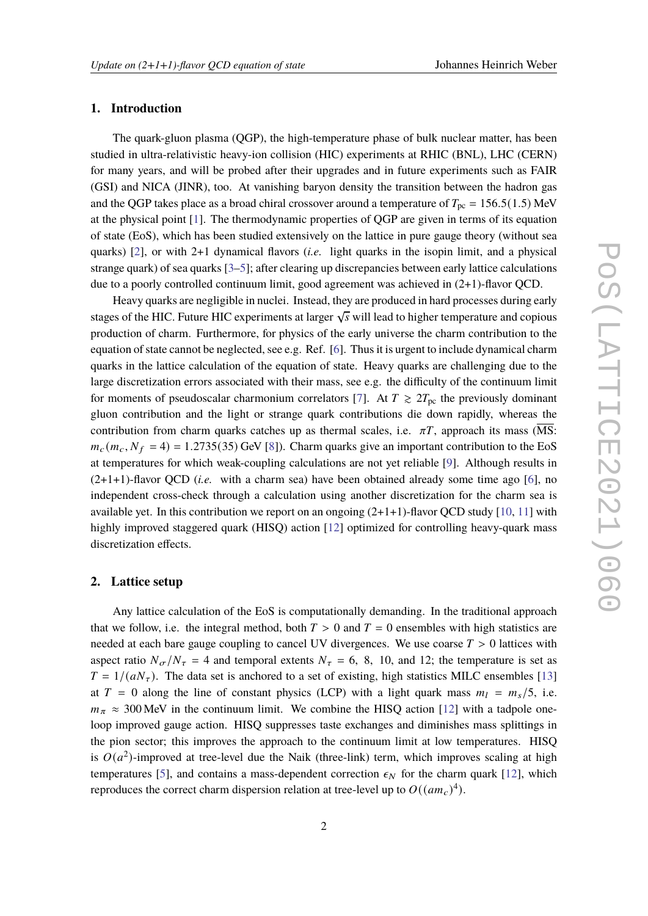### **1. Introduction**

The quark-gluon plasma (QGP), the high-temperature phase of bulk nuclear matter, has been studied in ultra-relativistic heavy-ion collision (HIC) experiments at RHIC (BNL), LHC (CERN) for many years, and will be probed after their upgrades and in future experiments such as FAIR (GSI) and NICA (JINR), too. At vanishing baryon density the transition between the hadron gas and the QGP takes place as a broad chiral crossover around a temperature of  $T_{\text{pc}} = 156.5(1.5)$  MeV at the physical point [\[1\]](#page-6-0). The thermodynamic properties of QGP are given in terms of its equation of state (EoS), which has been studied extensively on the lattice in pure gauge theory (without sea quarks) [\[2\]](#page-6-1), or with 2+1 dynamical flavors (*i.e.* light quarks in the isopin limit, and a physical strange quark) of sea quarks [\[3–](#page-6-2)[5\]](#page-6-3); after clearing up discrepancies between early lattice calculations due to a poorly controlled continuum limit, good agreement was achieved in (2+1)-flavor QCD.

Heavy quarks are negligible in nuclei. Instead, they are produced in hard processes during early stages of the HIC. Future HIC experiments at larger  $\sqrt{s}$  will lead to higher temperature and copious production of charm. Furthermore, for physics of the early universe the charm contribution to the equation of state cannot be neglected, see e.g. Ref. [\[6\]](#page-6-4). Thus it is urgent to include dynamical charm quarks in the lattice calculation of the equation of state. Heavy quarks are challenging due to the large discretization errors associated with their mass, see e.g. the difficulty of the continuum limit for moments of pseudoscalar charmonium correlators [\[7\]](#page-7-0). At  $T \geq 2T_{\text{pc}}$  the previously dominant gluon contribution and the light or strange quark contributions die down rapidly, whereas the contribution from charm quarks catches up as thermal scales, i.e.  $\pi T$ , approach its mass (MS:  $m_c(m_c, N_f = 4) = 1.2735(35)$  GeV [\[8\]](#page-7-1)). Charm quarks give an important contribution to the EoS at temperatures for which weak-coupling calculations are not yet reliable [\[9\]](#page-7-2). Although results in  $(2+1+1)$ -flavor QCD *(i.e.* with a charm sea) have been obtained already some time ago [\[6\]](#page-6-4), no independent cross-check through a calculation using another discretization for the charm sea is available yet. In this contribution we report on an ongoing  $(2+1+1)$ -flavor QCD study [\[10,](#page-7-3) [11\]](#page-7-4) with highly improved staggered quark (HISQ) action [\[12\]](#page-7-5) optimized for controlling heavy-quark mass discretization effects.

# **2. Lattice setup**

Any lattice calculation of the EoS is computationally demanding. In the traditional approach that we follow, i.e. the integral method, both  $T > 0$  and  $T = 0$  ensembles with high statistics are needed at each bare gauge coupling to cancel UV divergences. We use coarse  $T > 0$  lattices with aspect ratio  $N_{\sigma}/N_{\tau} = 4$  and temporal extents  $N_{\tau} = 6$ , 8, 10, and 12; the temperature is set as  $T = 1/(aN_{\tau})$ . The data set is anchored to a set of existing, high statistics MILC ensembles [\[13\]](#page-7-6) at  $T = 0$  along the line of constant physics (LCP) with a light quark mass  $m_l = m_s/5$ , i.e.  $m_{\pi} \approx 300$  MeV in the continuum limit. We combine the HISQ action [\[12\]](#page-7-5) with a tadpole oneloop improved gauge action. HISQ suppresses taste exchanges and diminishes mass splittings in the pion sector; this improves the approach to the continuum limit at low temperatures. HISQ is  $O(a^2)$ -improved at tree-level due the Naik (three-link) term, which improves scaling at high temperatures [\[5\]](#page-6-3), and contains a mass-dependent correction  $\epsilon_N$  for the charm quark [\[12\]](#page-7-5), which reproduces the correct charm dispersion relation at tree-level up to  $O((am_c)^4)$ .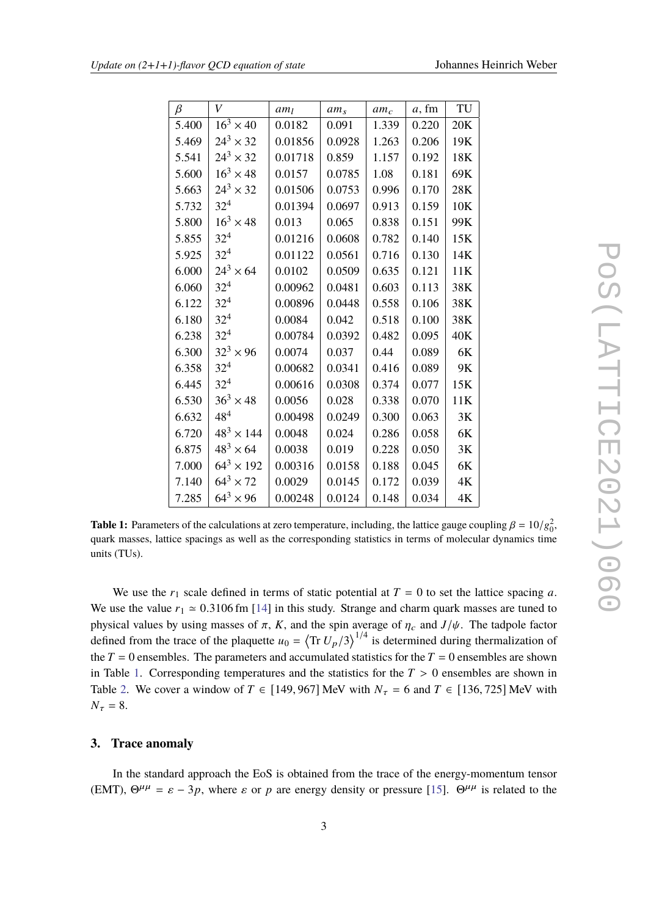<span id="page-2-0"></span>

| $\beta$ | V                  | $am_l$  | $am_s$         | $am_c$ | a, fm | TU  |
|---------|--------------------|---------|----------------|--------|-------|-----|
| 5.400   | $16^3 \times 40$   | 0.0182  | 0.091          | 1.339  | 0.220 | 20K |
| 5.469   | $24^3 \times 32$   | 0.01856 | 0.0928         | 1.263  | 0.206 | 19K |
| 5.541   | $24^3 \times 32$   | 0.01718 | 0.859<br>1.157 |        | 0.192 | 18K |
| 5.600   | $16^3 \times 48$   | 0.0157  | 0.0785         | 1.08   |       | 69K |
| 5.663   | $24^3 \times 32$   | 0.01506 | 0.0753         | 0.996  | 0.170 | 28K |
| 5.732   | $32^{4}$           | 0.01394 | 0.0697         | 0.913  | 0.159 | 10K |
| 5.800   | $16^3 \times 48$   | 0.013   | 0.065          | 0.838  | 0.151 | 99K |
| 5.855   | $32^{4}$           | 0.01216 | 0.0608         | 0.782  | 0.140 | 15K |
| 5.925   | $32^{4}$           | 0.01122 | 0.0561         | 0.716  | 0.130 | 14K |
| 6.000   | $24^3 \times 64$   | 0.0102  | 0.0509         | 0.635  | 0.121 | 11K |
| 6.060   | $32^{4}$           | 0.00962 | 0.0481         | 0.603  | 0.113 | 38K |
| 6.122   | $32^{4}$           | 0.00896 | 0.0448         | 0.558  | 0.106 | 38K |
| 6.180   | $32^{4}$           | 0.0084  | 0.042          | 0.518  | 0.100 | 38K |
| 6.238   | $32^{4}$           | 0.00784 | 0.0392         | 0.482  | 0.095 | 40K |
| 6.300   | $32^3 \times 96$   | 0.0074  | 0.037          | 0.44   | 0.089 | 6K  |
| 6.358   | $32^{4}$           | 0.00682 | 0.0341         | 0.416  | 0.089 | 9K  |
| 6.445   | $32^{4}$           | 0.00616 | 0.0308         | 0.374  | 0.077 | 15K |
| 6.530   | $36^3 \times 48$   | 0.0056  | 0.028          | 0.338  | 0.070 | 11K |
| 6.632   | $48^{4}$           | 0.00498 | 0.0249         | 0.300  | 0.063 | 3K  |
| 6.720   | $48^3 \times 144$  | 0.0048  | 0.024          | 0.286  | 0.058 | 6K  |
| 6.875   | $48^{3} \times 64$ | 0.0038  | 0.019          | 0.228  | 0.050 | 3K  |
| 7.000   | $64^3 \times 192$  | 0.00316 | 0.0158         | 0.188  | 0.045 | 6K  |
| 7.140   | $64^3 \times 72$   | 0.0029  | 0.0145         | 0.172  | 0.039 | 4K  |
| 7.285   | $64^3 \times 96$   | 0.00248 | 0.0124         | 0.148  | 0.034 | 4K  |

**Table 1:** Parameters of the calculations at zero temperature, including, the lattice gauge coupling  $\beta = 10/g_0^2$ , quark masses, lattice spacings as well as the corresponding statistics in terms of molecular dynamics time units (TUs).

We use the  $r_1$  scale defined in terms of static potential at  $T = 0$  to set the lattice spacing a. We use the value  $r_1 \approx 0.3106$  fm [\[14\]](#page-7-7) in this study. Strange and charm quark masses are tuned to physical values by using masses of  $\pi$ , K, and the spin average of  $\eta_c$  and  $J/\psi$ . The tadpole factor defined from the trace of the plaquette  $u_0 = \left\langle \text{Tr} U_p / 3 \right\rangle^{1/4}$  is determined during thermalization of the  $T = 0$  ensembles. The parameters and accumulated statistics for the  $T = 0$  ensembles are shown in Table [1.](#page-2-0) Corresponding temperatures and the statistics for the  $T > 0$  ensembles are shown in Table [2.](#page-3-0) We cover a window of  $T \in [149, 967]$  MeV with  $N_{\tau} = 6$  and  $T \in [136, 725]$  MeV with  $N_{\tau} = 8.$ 

#### **3. Trace anomaly**

In the standard approach the EoS is obtained from the trace of the energy-momentum tensor (EMT),  $\Theta^{\mu\mu} = \varepsilon - 3p$ , where  $\varepsilon$  or p are energy density or pressure [\[15\]](#page-7-8).  $\Theta^{\mu\mu}$  is related to the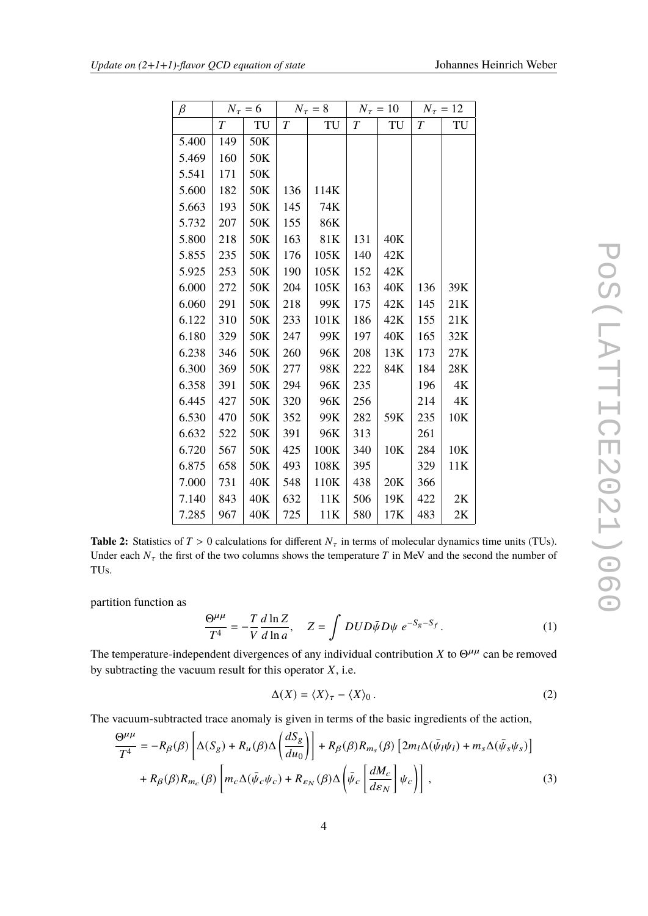| Johannes Heinrich Weber |  |  |  |
|-------------------------|--|--|--|
|-------------------------|--|--|--|

<span id="page-3-0"></span>

| $\beta$ | $N_\tau = 6$   |     | $N_\tau=8$     |      | $N_{\tau} = 10$ |     | $N_{\tau} = 12$ |               |
|---------|----------------|-----|----------------|------|-----------------|-----|-----------------|---------------|
|         | $\overline{T}$ | TU  | $\overline{T}$ | TU   | $\overline{T}$  | TU  | $\cal T$        | TU            |
| 5.400   | 149            | 50K |                |      |                 |     |                 |               |
| 5.469   | 160            | 50K |                |      |                 |     |                 |               |
| 5.541   | 171            | 50K |                |      |                 |     |                 |               |
| 5.600   | 182            | 50K | 136            | 114K |                 |     |                 |               |
| 5.663   | 193            | 50K | 145            | 74K  |                 |     |                 |               |
| 5.732   | 207            | 50K | 155            | 86K  |                 |     |                 |               |
| 5.800   | 218            | 50K | 163            | 81K  | 131             | 40K |                 |               |
| 5.855   | 235            | 50K | 176            | 105K | 140             | 42K |                 |               |
| 5.925   | 253            | 50K | 190            | 105K | 152             | 42K |                 |               |
| 6.000   | 272            | 50K | 204            | 105K | 163             | 40K | 136             | 39K           |
| 6.060   | 291            | 50K | 218            | 99K  | 175             | 42K | 145             | 21K           |
| 6.122   | 310            | 50K | 233            | 101K | 186             | 42K | 155             | 21K           |
| 6.180   | 329            | 50K | 247            | 99K  | 197             | 40K | 165             | 32K           |
| 6.238   | 346            | 50K | 260            | 96K  | 208             | 13K | 173             | 27K           |
| 6.300   | 369            | 50K | 277            | 98K  | 222             | 84K | 184             | 28K           |
| 6.358   | 391            | 50K | 294            | 96K  | 235             |     | 196             | 4K            |
| 6.445   | 427            | 50K | 320            | 96K  | 256             |     | 214             | $4\mathrm{K}$ |
| 6.530   | 470            | 50K | 352            | 99K  | 282             | 59K | 235             | 10K           |
| 6.632   | 522            | 50K | 391            | 96K  | 313             |     | 261             |               |
| 6.720   | 567            | 50K | 425            | 100K | 340             | 10K | 284             | 10K           |
| 6.875   | 658            | 50K | 493            | 108K | 395             |     | 329             | 11K           |
| 7.000   | 731            | 40K | 548            | 110K | 438             | 20K | 366             |               |
| 7.140   | 843            | 40K | 632            | 11K  | 506             | 19K | 422             | 2K            |
| 7.285   | 967            | 40K | 725            | 11K  | 580             | 17K | 483             | 2K            |

**Table 2:** Statistics of  $T > 0$  calculations for different  $N_{\tau}$  in terms of molecular dynamics time units (TUs). Under each  $N_{\tau}$  the first of the two columns shows the temperature T in MeV and the second the number of TUs.

partition function as

$$
\frac{\Theta^{\mu\mu}}{T^4} = -\frac{T}{V} \frac{d \ln Z}{d \ln a}, \quad Z = \int DUD\bar{\psi}D\psi \ e^{-S_g - S_f}.
$$
 (1)

The temperature-independent divergences of any individual contribution X to  $\Theta^{\mu\mu}$  can be removed by subtracting the vacuum result for this operator  $X$ , i.e.

$$
\Delta(X) = \langle X \rangle_{\tau} - \langle X \rangle_0 \,. \tag{2}
$$

The vacuum-subtracted trace anomaly is given in terms of the basic ingredients of the action,

$$
\frac{\Theta^{\mu\mu}}{T^4} = -R_{\beta}(\beta) \left[ \Delta(S_g) + R_{\mu}(\beta) \Delta \left( \frac{dS_g}{du_0} \right) \right] + R_{\beta}(\beta) R_{m_s}(\beta) \left[ 2m_l \Delta(\bar{\psi}_l \psi_l) + m_s \Delta(\bar{\psi}_s \psi_s) \right] + R_{\beta}(\beta) R_{m_c}(\beta) \left[ m_c \Delta(\bar{\psi}_c \psi_c) + R_{\varepsilon_N}(\beta) \Delta \left( \bar{\psi}_c \left[ \frac{dM_c}{d\varepsilon_N} \right] \psi_c \right) \right],
$$
(3)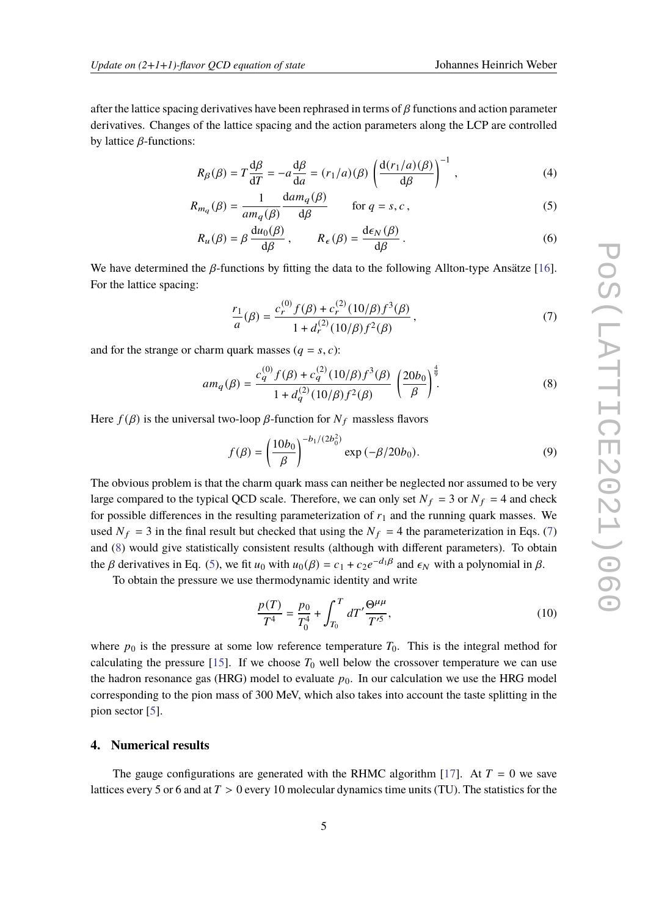after the lattice spacing derivatives have been rephrased in terms of  $\beta$  functions and action parameter derivatives. Changes of the lattice spacing and the action parameters along the LCP are controlled by lattice  $\beta$ -functions:

$$
R_{\beta}(\beta) = T \frac{\mathrm{d}\beta}{\mathrm{d}T} = -a \frac{\mathrm{d}\beta}{\mathrm{d}a} = (r_1/a)(\beta) \left(\frac{\mathrm{d}(r_1/a)(\beta)}{\mathrm{d}\beta}\right)^{-1},\tag{4}
$$

$$
R_{m_q}(\beta) = \frac{1}{am_q(\beta)} \frac{\text{d}am_q(\beta)}{\text{d}\beta} \qquad \text{for } q = s, c,
$$
 (5)

$$
R_u(\beta) = \beta \frac{du_0(\beta)}{d\beta}, \qquad R_{\epsilon}(\beta) = \frac{d\epsilon_N(\beta)}{d\beta}.
$$
 (6)

We have determined the  $\beta$ -functions by fitting the data to the following Allton-type Ansätze [\[16\]](#page-7-9). For the lattice spacing:

<span id="page-4-2"></span><span id="page-4-1"></span><span id="page-4-0"></span>
$$
\frac{r_1}{a}(\beta) = \frac{c_r^{(0)} f(\beta) + c_r^{(2)} (10/\beta) f^3(\beta)}{1 + d_r^{(2)} (10/\beta) f^2(\beta)},
$$
\n(7)

and for the strange or charm quark masses  $(q = s, c)$ :

$$
am_q(\beta) = \frac{c_q^{(0)} f(\beta) + c_q^{(2)} (10/\beta) f^3(\beta)}{1 + d_q^{(2)} (10/\beta) f^2(\beta)} \left(\frac{20b_0}{\beta}\right)^{\frac{4}{9}}.
$$
 (8)

Here  $f(\beta)$  is the universal two-loop  $\beta$ -function for  $N_f$  massless flavors

$$
f(\beta) = \left(\frac{10b_0}{\beta}\right)^{-b_1/(2b_0^2)} \exp(-\beta/20b_0).
$$
 (9)

The obvious problem is that the charm quark mass can neither be neglected nor assumed to be very large compared to the typical QCD scale. Therefore, we can only set  $N_f = 3$  or  $N_f = 4$  and check for possible differences in the resulting parameterization of  $r_1$  and the running quark masses. We used  $N_f = 3$  in the final result but checked that using the  $N_f = 4$  the parameterization in Eqs. [\(7\)](#page-4-0) and [\(8\)](#page-4-1) would give statistically consistent results (although with different parameters). To obtain the  $\beta$  derivatives in Eq. [\(5\)](#page-4-2), we fit  $u_0$  with  $u_0(\beta) = c_1 + c_2 e^{-d_1 \beta}$  and  $\epsilon_N$  with a polynomial in  $\beta$ .

To obtain the pressure we use thermodynamic identity and write

$$
\frac{p(T)}{T^4} = \frac{p_0}{T_0^4} + \int_{T_0}^{T} dT' \frac{\Theta^{\mu\mu}}{T'^5},\tag{10}
$$

where  $p_0$  is the pressure at some low reference temperature  $T_0$ . This is the integral method for calculating the pressure [\[15\]](#page-7-8). If we choose  $T_0$  well below the crossover temperature we can use the hadron resonance gas (HRG) model to evaluate  $p_0$ . In our calculation we use the HRG model corresponding to the pion mass of 300 MeV, which also takes into account the taste splitting in the pion sector [\[5\]](#page-6-3).

# **4. Numerical results**

The gauge configurations are generated with the RHMC algorithm [\[17\]](#page-7-10). At  $T = 0$  we save lattices every 5 or 6 and at  $T > 0$  every 10 molecular dynamics time units (TU). The statistics for the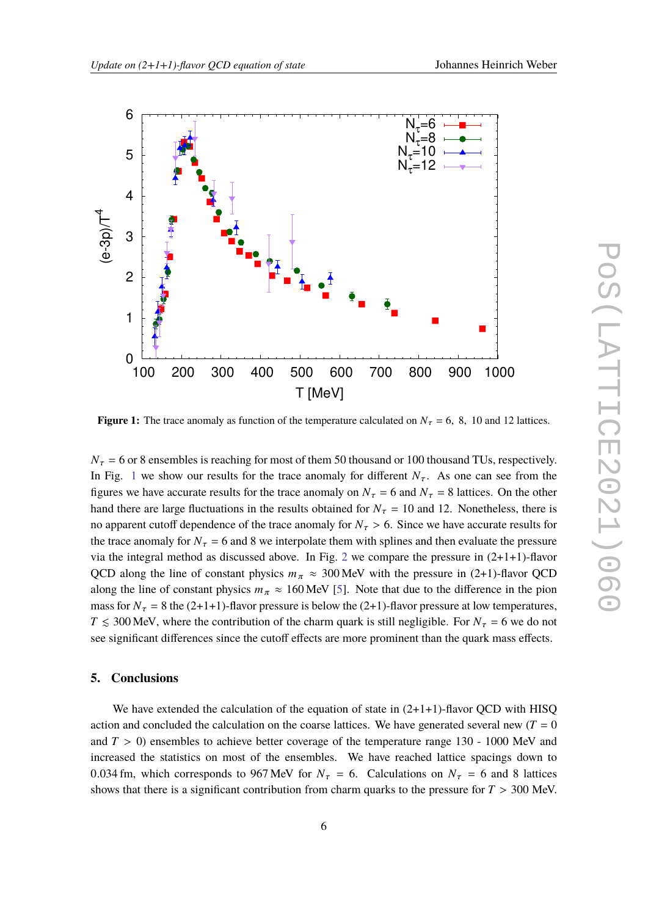<span id="page-5-0"></span>

**Figure 1:** The trace anomaly as function of the temperature calculated on  $N_{\tau} = 6$ , 8, 10 and 12 lattices.

 $N_{\tau}$  = 6 or 8 ensembles is reaching for most of them 50 thousand or 100 thousand TUs, respectively. In Fig. [1](#page-5-0) we show our results for the trace anomaly for different  $N_{\tau}$ . As one can see from the figures we have accurate results for the trace anomaly on  $N_{\tau} = 6$  and  $N_{\tau} = 8$  lattices. On the other hand there are large fluctuations in the results obtained for  $N_{\tau} = 10$  and 12. Nonetheless, there is no apparent cutoff dependence of the trace anomaly for  $N_{\tau} > 6$ . Since we have accurate results for the trace anomaly for  $N_{\tau} = 6$  and 8 we interpolate them with splines and then evaluate the pressure via the integral method as discussed above. In Fig. [2](#page-6-5) we compare the pressure in  $(2+1+1)$ -flavor QCD along the line of constant physics  $m_{\pi} \approx 300$  MeV with the pressure in (2+1)-flavor QCD along the line of constant physics  $m_{\pi} \approx 160 \text{ MeV}$  [\[5\]](#page-6-3). Note that due to the difference in the pion mass for  $N_{\tau} = 8$  the (2+1+1)-flavor pressure is below the (2+1)-flavor pressure at low temperatures,  $T \le 300$  MeV, where the contribution of the charm quark is still negligible. For  $N_{\tau} = 6$  we do not see significant differences since the cutoff effects are more prominent than the quark mass effects.

# **5. Conclusions**

We have extended the calculation of the equation of state in  $(2+1+1)$ -flavor QCD with HISQ action and concluded the calculation on the coarse lattices. We have generated several new  $(T = 0$ and  $T > 0$ ) ensembles to achieve better coverage of the temperature range 130 - 1000 MeV and increased the statistics on most of the ensembles. We have reached lattice spacings down to 0.034 fm, which corresponds to 967 MeV for  $N_{\tau} = 6$ . Calculations on  $N_{\tau} = 6$  and 8 lattices shows that there is a significant contribution from charm quarks to the pressure for  $T > 300$  MeV.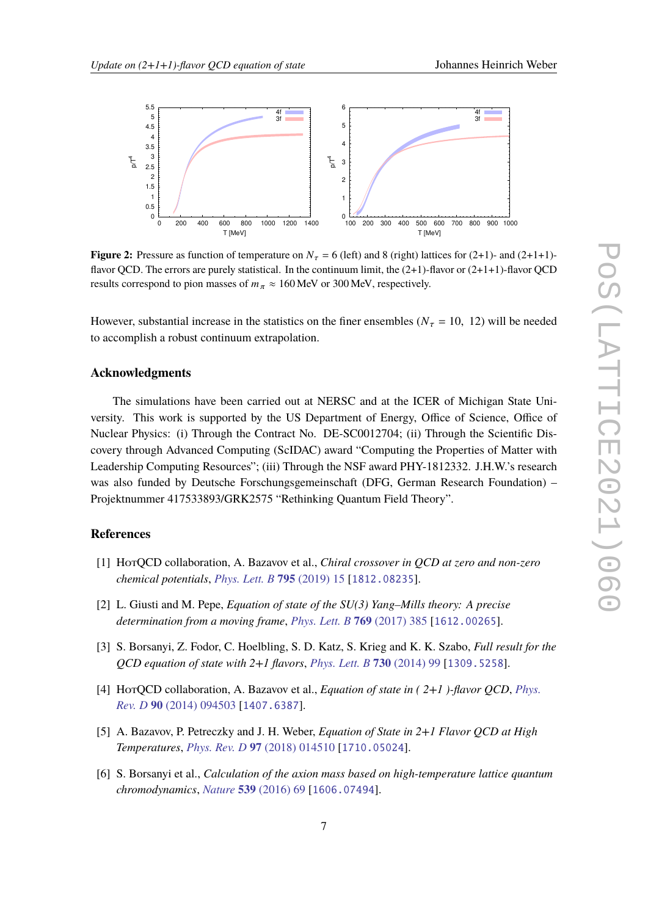<span id="page-6-5"></span>

**Figure 2:** Pressure as function of temperature on  $N_{\tau} = 6$  (left) and 8 (right) lattices for (2+1)- and (2+1+1)flavor QCD. The errors are purely statistical. In the continuum limit, the (2+1)-flavor or (2+1+1)-flavor QCD results correspond to pion masses of  $m_{\pi} \approx 160$  MeV or 300 MeV, respectively.

However, substantial increase in the statistics on the finer ensembles ( $N_{\tau} = 10, 12$ ) will be needed to accomplish a robust continuum extrapolation.

## **Acknowledgments**

The simulations have been carried out at NERSC and at the ICER of Michigan State University. This work is supported by the US Department of Energy, Office of Science, Office of Nuclear Physics: (i) Through the Contract No. DE-SC0012704; (ii) Through the Scientific Discovery through Advanced Computing (ScIDAC) award "Computing the Properties of Matter with Leadership Computing Resources"; (iii) Through the NSF award PHY-1812332. J.H.W.'s research was also funded by Deutsche Forschungsgemeinschaft (DFG, German Research Foundation) – Projektnummer 417533893/GRK2575 "Rethinking Quantum Field Theory".

# **References**

- <span id="page-6-0"></span>[1] HotQCD collaboration, A. Bazavov et al., *Chiral crossover in QCD at zero and non-zero chemical potentials*, *[Phys. Lett. B](https://doi.org/10.1016/j.physletb.2019.05.013)* **795** (2019) 15 [[1812.08235](https://arxiv.org/abs/1812.08235)].
- <span id="page-6-1"></span>[2] L. Giusti and M. Pepe, *Equation of state of the SU(3) Yang–Mills theory: A precise determination from a moving frame*, *[Phys. Lett. B](https://doi.org/10.1016/j.physletb.2017.04.001)* **769** (2017) 385 [[1612.00265](https://arxiv.org/abs/1612.00265)].
- <span id="page-6-2"></span>[3] S. Borsanyi, Z. Fodor, C. Hoelbling, S. D. Katz, S. Krieg and K. K. Szabo, *Full result for the QCD equation of state with 2+1 flavors*, *[Phys. Lett. B](https://doi.org/10.1016/j.physletb.2014.01.007)* **730** (2014) 99 [[1309.5258](https://arxiv.org/abs/1309.5258)].
- [4] HotQCD collaboration, A. Bazavov et al., *Equation of state in ( 2+1 )-flavor QCD*, *[Phys.](https://doi.org/10.1103/PhysRevD.90.094503) Rev. D* **90** [\(2014\) 094503](https://doi.org/10.1103/PhysRevD.90.094503) [[1407.6387](https://arxiv.org/abs/1407.6387)].
- <span id="page-6-3"></span>[5] A. Bazavov, P. Petreczky and J. H. Weber, *Equation of State in 2+1 Flavor QCD at High Temperatures*, *[Phys. Rev. D](https://doi.org/10.1103/PhysRevD.97.014510)* **97** (2018) 014510 [[1710.05024](https://arxiv.org/abs/1710.05024)].
- <span id="page-6-4"></span>[6] S. Borsanyi et al., *Calculation of the axion mass based on high-temperature lattice quantum chromodynamics*, *Nature* **539** [\(2016\) 69](https://doi.org/10.1038/nature20115) [[1606.07494](https://arxiv.org/abs/1606.07494)].